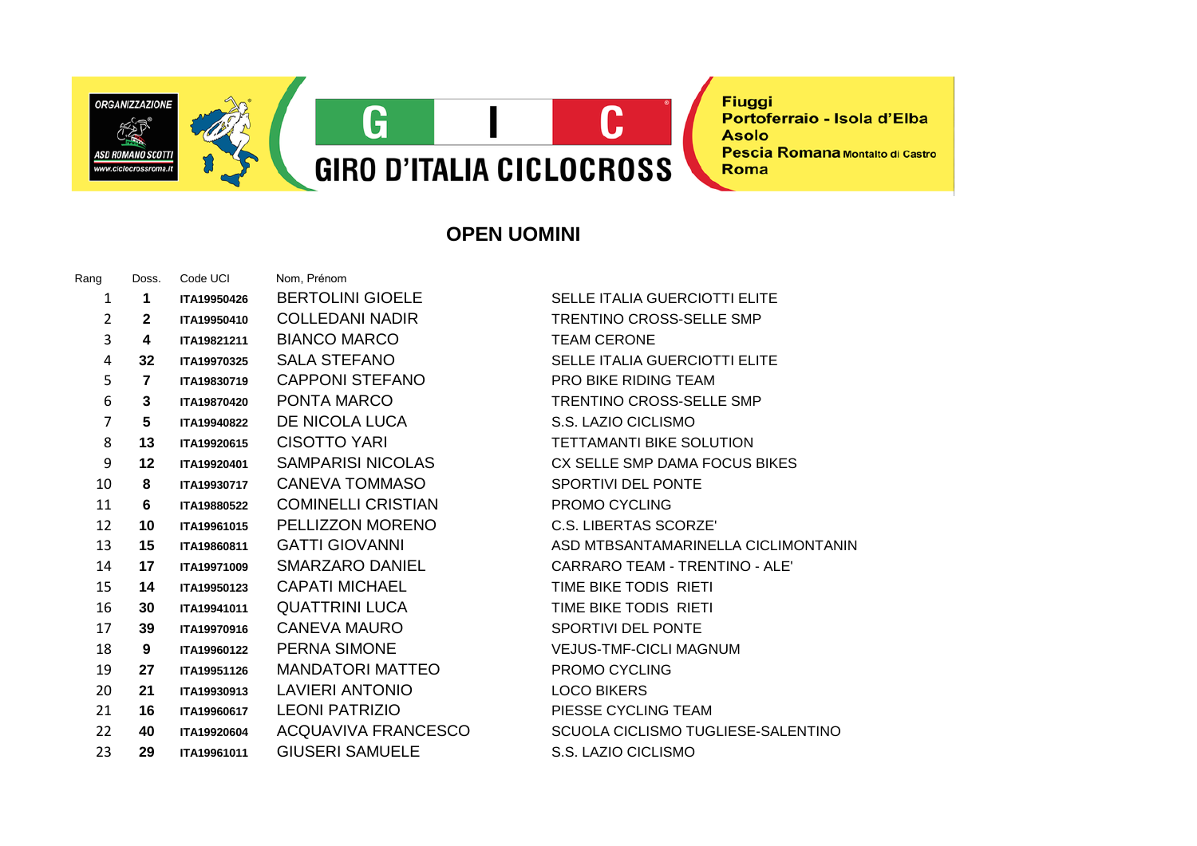**Fiuggi** Portoferraio - Isola d'Elba **Asolo** Pescia Romana Montalto di Castro Roma

**OPEN UOMINI**

**GIRO D'ITALIA CICLOCROSS** 

 $\mathbf C$ 

G

| $\mathbf{1}$            | 1              | ITA19950426 | <b>BERTOLINI GIOELE</b>   | <b>SELLE ITALIA GUERCIOTTI ELITE</b> |
|-------------------------|----------------|-------------|---------------------------|--------------------------------------|
| $\overline{2}$          | $\mathbf{2}$   | ITA19950410 | <b>COLLEDANI NADIR</b>    | <b>TRENTINO CROSS-SELLE SMP</b>      |
| 3                       | 4              | ITA19821211 | <b>BIANCO MARCO</b>       | <b>TEAM CERONE</b>                   |
| $\overline{\mathbf{4}}$ | 32             | ITA19970325 | <b>SALA STEFANO</b>       | <b>SELLE ITALIA GUERCIOTTI ELITE</b> |
| 5                       | $\overline{7}$ | ITA19830719 | <b>CAPPONI STEFANO</b>    | <b>PRO BIKE RIDING TEAM</b>          |
| 6                       | 3              | ITA19870420 | PONTA MARCO               | <b>TRENTINO CROSS-SELLE SMP</b>      |
| $\overline{7}$          | 5              | ITA19940822 | DE NICOLA LUCA            | S.S. LAZIO CICLISMO                  |
| 8                       | 13             | ITA19920615 | <b>CISOTTO YARI</b>       | <b>TETTAMANTI BIKE SOLUTION</b>      |
| 9                       | 12             | ITA19920401 | SAMPARISI NICOLAS         | CX SELLE SMP DAMA FOCUS BIKES        |
| 10                      | 8              | ITA19930717 | <b>CANEVA TOMMASO</b>     | SPORTIVI DEL PONTE                   |
| 11                      | 6              | ITA19880522 | <b>COMINELLI CRISTIAN</b> | <b>PROMO CYCLING</b>                 |
| 12                      | 10             | ITA19961015 | PELLIZZON MORENO          | <b>C.S. LIBERTAS SCORZE'</b>         |
| 13                      | 15             | ITA19860811 | <b>GATTI GIOVANNI</b>     | ASD MTBSANTAMARINELLA CICLIMONTANIN  |
| 14                      | 17             | ITA19971009 | SMARZARO DANIEL           | CARRARO TEAM - TRENTINO - ALE'       |
| 15                      | 14             | ITA19950123 | <b>CAPATI MICHAEL</b>     | TIME BIKE TODIS RIETI                |
| 16                      | 30             | ITA19941011 | <b>QUATTRINI LUCA</b>     | TIME BIKE TODIS RIETI                |
| 17                      | 39             | ITA19970916 | CANEVA MAURO              | <b>SPORTIVI DEL PONTE</b>            |
| 18                      | 9              | ITA19960122 | PERNA SIMONE              | <b>VEJUS-TMF-CICLI MAGNUM</b>        |
| 19                      | 27             | ITA19951126 | <b>MANDATORI MATTEO</b>   | <b>PROMO CYCLING</b>                 |
| 20                      | 21             | ITA19930913 | <b>LAVIERI ANTONIO</b>    | <b>LOCO BIKERS</b>                   |
| 21                      | 16             | ITA19960617 | <b>LEONI PATRIZIO</b>     | PIESSE CYCLING TEAM                  |
| 22                      | 40             | ITA19920604 | ACQUAVIVA FRANCESCO       | SCUOLA CICLISMO TUGLIESE-SALENTINO   |
| 23                      | 29             | ITA19961011 | <b>GIUSERI SAMUELE</b>    | S.S. LAZIO CICLISMO                  |
|                         |                |             |                           |                                      |

Rang Doss. Code UCI Nom, Prénom

**ORGANIZZAZIONE** 

**ASD ROMANO SCOTT** 

w ciclocrossrou